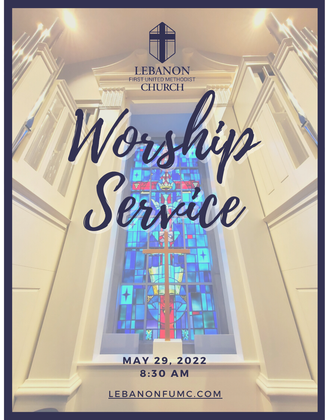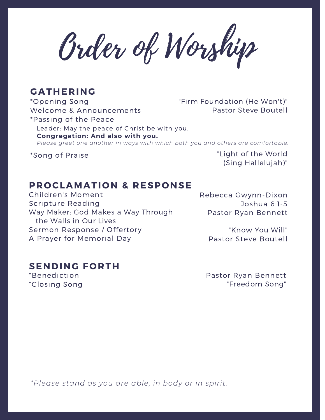Order of Worship

# **GATHERING**

\*Opening Song Welcome & Announcements \*Passing of the Peace

"Firm Foundation (He Won't)" Pastor Steve Boutell

Leader: May the peace of Christ be with you. **Congregation: And also with you.** *Please greet one another in ways with which both you and others are comfortable.*

\*Song of Praise

"Light of the World (Sing Hallelujah)"

# **PROCLAMATION & RESPONSE**

Children's Moment Scripture Reading Way Maker: God Makes a Way Through the Walls in Our Lives Sermon Response / Offertory A Prayer for Memorial Day

Rebecca Gwynn-Dixon Joshua 6:1-5 Pastor Ryan Bennett

> "Know You Will" Pastor Steve Boutell

## **SENDING FORTH**

\*Benediction \*Closing Song Pastor Ryan Bennett "Freedom Song"

*\*Please stand as you are able, in body or in spirit.*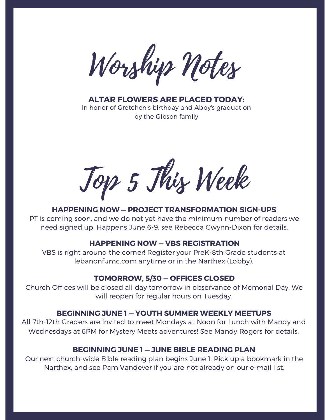Worship Notes

**ALTAR FLOWERS ARE PLACED TODAY:** In honor of Gretchen's birthday and Abby's graduation by the Gibson family

Top 5 This Week

### **HAPPENING NOW — PROJECT TRANSFORMATION SIGN-UPS**

PT is coming soon, and we do not yet have the minimum number of readers we need signed up. Happens June 6-9, see Rebecca Gwynn-Dixon for details.

#### **HAPPENING NOW — VBS REGISTRATION**

VBS is right around the corner! Register your PreK-8th Grade students at lebanonfumc.com anytime or in the Narthex (Lobby).

#### **TOMORROW, 5/30 — OFFICES CLOSED**

Church Offices will be closed all day tomorrow in observance of Memorial Day. We will reopen for regular hours on Tuesday.

#### **BEGINNING JUNE 1 — YOUTH SUMMER WEEKLY MEETUPS**

All 7th-12th Graders are invited to meet Mondays at Noon for Lunch with Mandy and Wednesdays at 6PM for Mystery Meets adventures! See Mandy Rogers for details.

#### **BEGINNING JUNE 1 — JUNE BIBLE READING PLAN**

Our next church-wide Bible reading plan begins June 1. Pick up a bookmark in the Narthex, and see Pam Vandever if you are not already on our e-mail list.